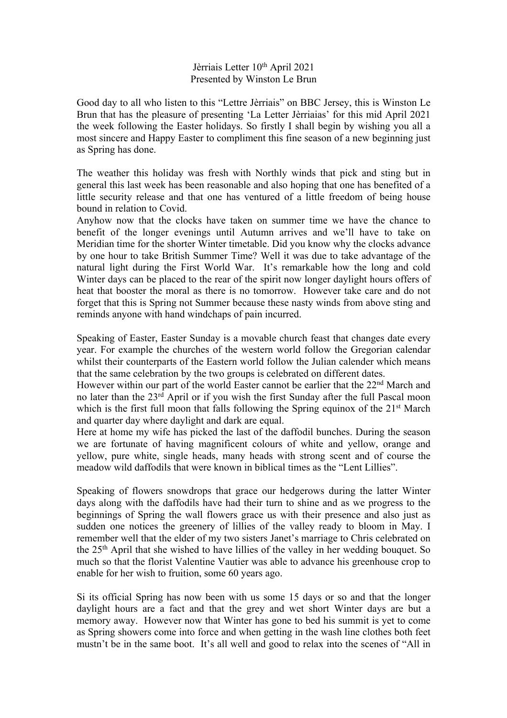## Jèrriais Letter 10<sup>th</sup> April 2021 Presented by Winston Le Brun

Good day to all who listen to this "Lettre Jèrriais" on BBC Jersey, this is Winston Le Brun that has the pleasure of presenting 'La Letter Jèrriaias' for this mid April 2021 the week following the Easter holidays. So firstly I shall begin by wishing you all a most sincere and Happy Easter to compliment this fine season of a new beginning just as Spring has done.

The weather this holiday was fresh with Northly winds that pick and sting but in general this last week has been reasonable and also hoping that one has benefited of a little security release and that one has ventured of a little freedom of being house bound in relation to Covid.

Anyhow now that the clocks have taken on summer time we have the chance to benefit of the longer evenings until Autumn arrives and we'll have to take on Meridian time for the shorter Winter timetable. Did you know why the clocks advance by one hour to take British Summer Time? Well it was due to take advantage of the natural light during the First World War. It's remarkable how the long and cold Winter days can be placed to the rear of the spirit now longer daylight hours offers of heat that booster the moral as there is no tomorrow. However take care and do not forget that this is Spring not Summer because these nasty winds from above sting and reminds anyone with hand windchaps of pain incurred.

Speaking of Easter, Easter Sunday is a movable church feast that changes date every year. For example the churches of the western world follow the Gregorian calendar whilst their counterparts of the Eastern world follow the Julian calender which means that the same celebration by the two groups is celebrated on different dates.

However within our part of the world Easter cannot be earlier that the 22<sup>nd</sup> March and no later than the  $23<sup>rd</sup>$  April or if you wish the first Sunday after the full Pascal moon which is the first full moon that falls following the Spring equinox of the 21<sup>st</sup> March and quarter day where daylight and dark are equal.

Here at home my wife has picked the last of the daffodil bunches. During the season we are fortunate of having magnificent colours of white and yellow, orange and yellow, pure white, single heads, many heads with strong scent and of course the meadow wild daffodils that were known in biblical times as the "Lent Lillies".

Speaking of flowers snowdrops that grace our hedgerows during the latter Winter days along with the daffodils have had their turn to shine and as we progress to the beginnings of Spring the wall flowers grace us with their presence and also just as sudden one notices the greenery of lillies of the valley ready to bloom in May. I remember well that the elder of my two sisters Janet's marriage to Chris celebrated on the 25th April that she wished to have lillies of the valley in her wedding bouquet. So much so that the florist Valentine Vautier was able to advance his greenhouse crop to enable for her wish to fruition, some 60 years ago.

Si its official Spring has now been with us some 15 days or so and that the longer daylight hours are a fact and that the grey and wet short Winter days are but a memory away. However now that Winter has gone to bed his summit is yet to come as Spring showers come into force and when getting in the wash line clothes both feet mustn't be in the same boot. It's all well and good to relax into the scenes of "All in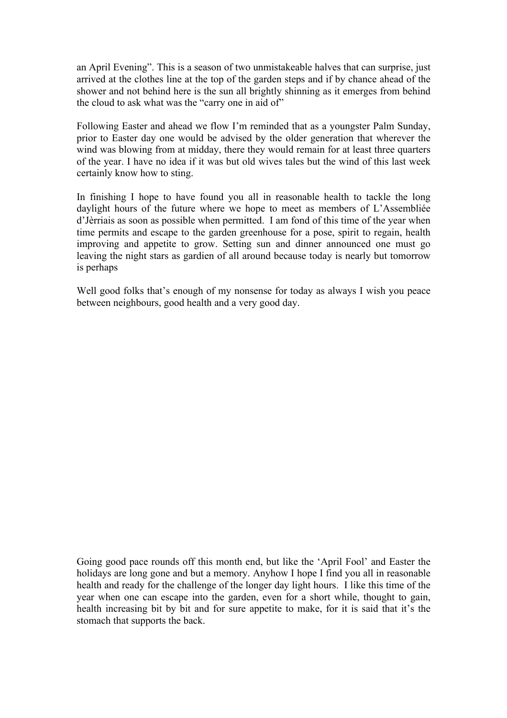an April Evening". This is a season of two unmistakeable halves that can surprise, just arrived at the clothes line at the top of the garden steps and if by chance ahead of the shower and not behind here is the sun all brightly shinning as it emerges from behind the cloud to ask what was the "carry one in aid of"

Following Easter and ahead we flow I'm reminded that as a youngster Palm Sunday, prior to Easter day one would be advised by the older generation that wherever the wind was blowing from at midday, there they would remain for at least three quarters of the year. I have no idea if it was but old wives tales but the wind of this last week certainly know how to sting.

In finishing I hope to have found you all in reasonable health to tackle the long daylight hours of the future where we hope to meet as members of L'Assembliée d'Jèrriais as soon as possible when permitted. I am fond of this time of the year when time permits and escape to the garden greenhouse for a pose, spirit to regain, health improving and appetite to grow. Setting sun and dinner announced one must go leaving the night stars as gardien of all around because today is nearly but tomorrow is perhaps

Well good folks that's enough of my nonsense for today as always I wish you peace between neighbours, good health and a very good day.

Going good pace rounds off this month end, but like the 'April Fool' and Easter the holidays are long gone and but a memory. Anyhow I hope I find you all in reasonable health and ready for the challenge of the longer day light hours. I like this time of the year when one can escape into the garden, even for a short while, thought to gain, health increasing bit by bit and for sure appetite to make, for it is said that it's the stomach that supports the back.